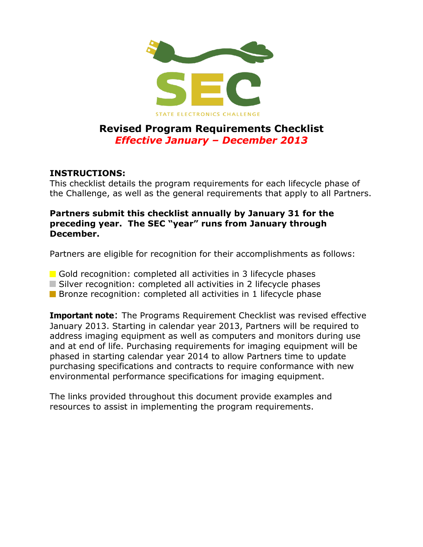

# **Revised Program Requirements Checklist** *Effective January – December 2013*

#### **INSTRUCTIONS:**

This checklist details the program requirements for each lifecycle phase of the Challenge, as well as the general requirements that apply to all Partners.

#### **Partners submit this checklist annually by January 31 for the preceding year. The SEC "year" runs from January through December.**

Partners are eligible for recognition for their accomplishments as follows:

- Gold recognition: completed all activities in 3 lifecycle phases
- Silver recognition: completed all activities in 2 lifecycle phases
- **Bronze recognition: completed all activities in 1 lifecycle phase**

**Important note:** The Programs Requirement Checklist was revised effective January 2013. Starting in calendar year 2013, Partners will be required to address imaging equipment as well as computers and monitors during use and at end of life. Purchasing requirements for imaging equipment will be phased in starting calendar year 2014 to allow Partners time to update purchasing specifications and contracts to require conformance with new environmental performance specifications for imaging equipment.

The links provided throughout this document provide examples and resources to assist in implementing the program requirements.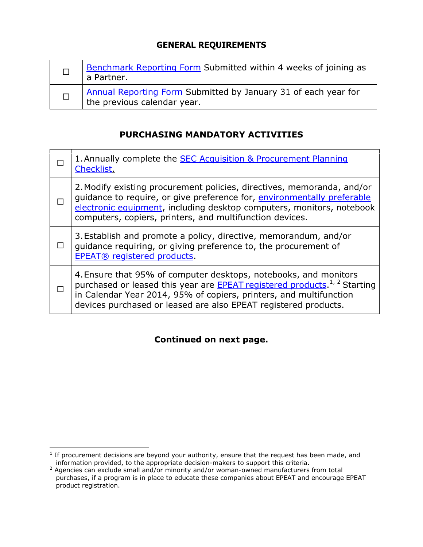#### **GENERAL REQUIREMENTS**

| Benchmark Reporting Form Submitted within 4 weeks of joining as<br>a Partner.                 |
|-----------------------------------------------------------------------------------------------|
| Annual Reporting Form Submitted by January 31 of each year for<br>the previous calendar year. |

#### **PURCHASING MANDATORY ACTIVITIES**

|              | 1. Annually complete the <b>SEC</b> Acquisition & Procurement Planning<br><b>Checklist</b>                                                                                                                                                                                                                |
|--------------|-----------------------------------------------------------------------------------------------------------------------------------------------------------------------------------------------------------------------------------------------------------------------------------------------------------|
|              | 2. Modify existing procurement policies, directives, memoranda, and/or<br>quidance to require, or give preference for, environmentally preferable<br>electronic equipment, including desktop computers, monitors, notebook<br>computers, copiers, printers, and multifunction devices.                    |
| $\mathsf{L}$ | 3. Establish and promote a policy, directive, memorandum, and/or<br>guidance requiring, or giving preference to, the procurement of<br>EPEAT® registered products.                                                                                                                                        |
|              | 4. Ensure that 95% of computer desktops, notebooks, and monitors<br>purchased or leased this year are <b>EPEAT</b> registered products. <sup>1, 2</sup> Starting<br>in Calendar Year 2014, 95% of copiers, printers, and multifunction<br>devices purchased or leased are also EPEAT registered products. |
|              |                                                                                                                                                                                                                                                                                                           |

## **Continued on next page.**

 $\overline{a}$ 

 $<sup>1</sup>$  If procurement decisions are beyond your authority, ensure that the request has been made, and</sup> information provided, to the appropriate decision-makers to support this criteria.

 $^2$  Agencies can exclude small and/or minority and/or woman-owned manufacturers from total purchases, if a program is in place to educate these companies about EPEAT and encourage EPEAT product registration.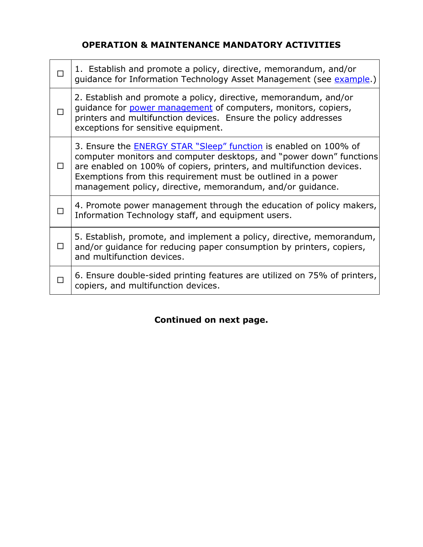### **OPERATION & MAINTENANCE MANDATORY ACTIVITIES**

|   | 1. Establish and promote a policy, directive, memorandum, and/or<br>guidance for Information Technology Asset Management (see example.)                                                                                                                                                                                                              |
|---|------------------------------------------------------------------------------------------------------------------------------------------------------------------------------------------------------------------------------------------------------------------------------------------------------------------------------------------------------|
|   | 2. Establish and promote a policy, directive, memorandum, and/or<br>guidance for power management of computers, monitors, copiers,<br>printers and multifunction devices. Ensure the policy addresses<br>exceptions for sensitive equipment.                                                                                                         |
|   | 3. Ensure the <b>ENERGY STAR "Sleep"</b> function is enabled on 100% of<br>computer monitors and computer desktops, and "power down" functions<br>are enabled on 100% of copiers, printers, and multifunction devices.<br>Exemptions from this requirement must be outlined in a power<br>management policy, directive, memorandum, and/or guidance. |
|   | 4. Promote power management through the education of policy makers,<br>Information Technology staff, and equipment users.                                                                                                                                                                                                                            |
| П | 5. Establish, promote, and implement a policy, directive, memorandum,<br>and/or guidance for reducing paper consumption by printers, copiers,<br>and multifunction devices.                                                                                                                                                                          |
|   | 6. Ensure double-sided printing features are utilized on 75% of printers,<br>copiers, and multifunction devices.                                                                                                                                                                                                                                     |

# **Continued on next page.**